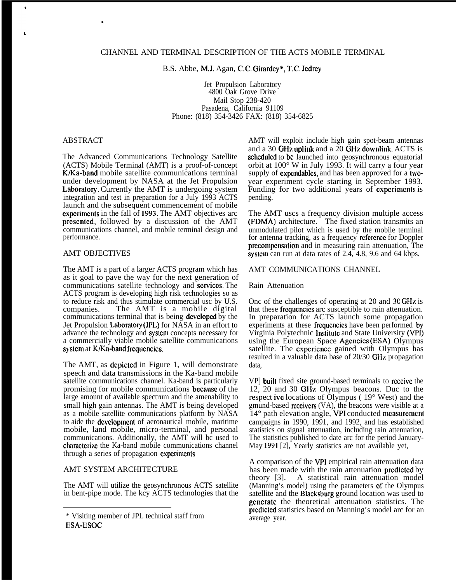B.S. Abbe, M.J. Agan, C.C, Girardcy\*, T.C. Jcdrcy

Jet Propulsion Laboratory 4800 Oak Grove Drive Mail Stop 238-420 Pasadena, California 91109 Phone: (818) 354-3426 FAX: (818) 354-6825

## ABSTRACT

.

The Advanced Communications Technology Satellite (ACTS) Mobile Terminal (AMT) is a proof-of-concept K/Ka-band mobile satellite communications terminal under development by NASA at the Jet Propulsion Laboratory. Currently the AMT is undergoing system integration and test in preparation for a July 1993 ACTS launch and the subsequent commencement of mobile cxpcrimcnts in the fall of 1993. The AMT objectives arc prcscntcd, followed by a discussion of the AMT communications channel, and mobile terminal design and performance.

## AMT OBJECTIVES

The AMT is a part of a larger ACTS program which has as it goal to pave the way for the next generation of communications satellite technology and scrviccs. The ACTS program is developing high risk technologies so as to reduce risk and thus stimulate commercial usc by U.S. companies. The AMT is a mobile digital communications terminal that is being developed by the Jet Propulsion Laboratory (JPL) for NASA in an effort to advance the technology and systcm concepts necessary for a commercially viable mobile satellite communications system at K/Ka-band frequencies.

The AMT, as depicted in Figure 1, will demonstrate speech and data transmissions in the Ka-band mobile satellite communications channel. Ka-band is particularly promising for mobile communications bccausc of the large amount of available spectrum and the amenability to small high gain antennas. The AMT is being developed as a mobile satellite communications platform by NASA to aide the dcveIopmcnt of aeronautical mobile, maritime mobile, land mobile, micro-terminal, and personal communications. Additionally, the AMT will bc used to characterize the Ka-band mobile communications channel through a series of propagation cxpcrimcnts.

## AMT SYSTEM ARCHITECTURE

The AMT will utilize the geosynchronous ACTS satellite in bent-pipe mode. The kcy ACTS technologies that the AMT will exploit include high gain spot-beam antennas and a 30 GHz uplink and a 20 GHz downlink. ACTS is scheduled to be launched into geosynchronous equatorial orbit at 100° W in July 1993. It will carry a four year supply of expcndablcs, and has been approved for a twoyear experiment cycle starting in September 1993. Funding for two additional years of cxpcrimcnts is pending.

The AMT uscs a frequency division multiple access (FDMA) architecture. The fixed station transmits an unmodulated pilot which is used by the mobile terminal for antenna tracking, as a frequency reference for Doppler prccompcnsation and in measuring rain attenuation, The systcm can run at data rates of 2.4, 4.8, 9.6 and 64 kbps.

#### AMT COMMUNICATIONS CHANNEL

#### Rain Attenuation

Onc of the challenges of operating at 20 and 30 GHz is that these frcqucncics arc susceptible to rain attenuation. In preparation for ACTS launch some propagation experiments at these frequencies have been performed by Virginia Polytechnic lnstitutc and State University (W']) using the European Space Agcncics (ESA) Olympus satellite. The experience gained with Olympus has resulted in a valuable data base of 20/30 GHz propagation data,

VP] built fixed site ground-based terminals to rcccivc the 12, 20 and 30 GH7, Olympus beacons. Duc to the respect ivc locations of Olympus ( 19° West) and the gmund-based rcceivcrs (VA), the beacons were visible at a 14° path elevation angle, VPI conducted mcasurcmcnt campaigns in 1990, 1991, and 1992, and has established statistics on signal attenuation, including rain attenuation, The statistics published to date arc for the period January-May 1991 [2], Yearly statistics are not available yet,

A comparison of the VPI empirical rain attenuation data has been made with the rain attenuation prcdictcd by theory [3]. A statistical rain attenuation model (Manning's model) using the parameters of the Olympus satellite and the Blacksburg ground location was used to gcncratc the theoretical attenuation statistics. The prcdicled statistics based on Manning's model arc for an average year.

<sup>\*</sup> Visiting member of JPL technical staff from ESA-ESOC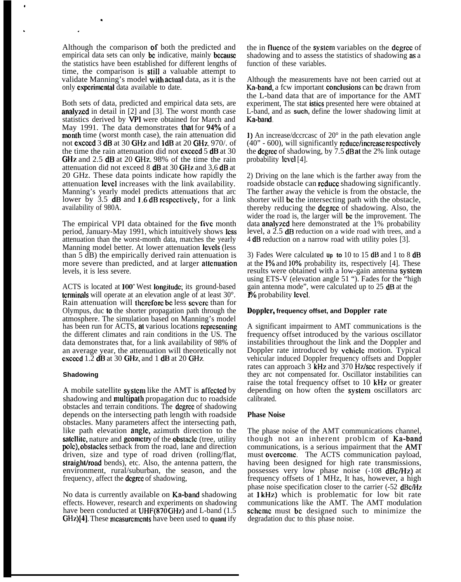Although the comparison of both the predicted and empirical data sets can only be indicative, mainly because the statistics have been established for different lengths of time, the comparison is still a valuable attempt to validate Manning's model with actual data, as it is the only experimental data available to date.

.

.

Both sets of data, predicted and empirical data sets, are analyzed in detail in  $[2]$  and  $[3]$ . The worst month case statistics derived by VPI were obtained for March and May 1991. The data demonstrates that for 94% of a month time (worst month case), the rain attenuation did not excccd 3 dB at 30 GHz and ldB at 20 GH7., 970/. of the time the rain attenuation did not exceed 5 dB at 30 GHz and 2.5 dB at 20 GHz. 98% of the time the rain attenuation did not exceed 8 dB at 30 GHz and 3,6 dB at 20 GHz. These data points indicate how rapidly the attenuation **level** increases with the link availability. Manning's yearly model predicts attenuations that arc lower by 3.5 **dB** and 1.6 **dB** respectively, for a link availability of 980A.

The empirical VPI data obtained for the five month period, January-May 1991, which intuitively shows less attenuation than the worst-month data, matches the yearly Manning model better. At lower attenuation levels (less than 5 dB) the empirically derived rain attenuation is more severe than predicted, and at larger attenuation levels, it is less severe.

ACTS is located at 100" West Iongitudc; its ground-based terminals will operate at an elevation angle of at least 30°. Rain attenuation will therefore be less severe than for Olympus, duc to the shorter propagation path through the atmosphere. The simulation based on Manning's model has been run for ACTS, at various locations representing the different climates and rain conditions in the US. The data demonstrates that, for a link availability of 98% of an average year, the attenuation will theoretically not cxcecd 1.2 dB at 30 GHz, and 1 dB at 20 GHz.

#### **Shadowing**

A mobile satellite systcm like the AMT is affcctcd by shadowing and multipath propagation duc to roadside obstacles and terrain conditions. The dcgrcc of shadowing depends on the intersecting path length with roadside obstacles. Many parameters affect the intersecting path, like path elevation angle, azimuth direction to the satcllite, nature and geometry of the obstacle (tree, utility pcdc), obslaclcs setback from the road, lane and direction driven, size and type of road driven (rolling/flat, straight/road bends), etc. Also, the antenna pattern, the environment, rural/suburban, the season, and the frequency, affect the **dcgree** of shadowing,

No data is currently available on Ka-band shadowing effects. However, research and experiments on shadowing have been conducted at UHF(870 GHz) and L-band  $(1.5)$ GHz)[4]. These measurements have been used to quant ify the in fluence of the system variables on the degree of shadowing and to assess the statistics of shadowing as a function of these variables.

Although the measurements have not been carried out at Ka-band, a fcw important conclusions can be drawn from the L-band data that are of importance for the AMT experiment, The stat istics presented here were obtained at L-band, and as **such,** define the lower shadowing limit at Ka-band,

1) An increase/dccrcasc of 20° in the path elevation angle  $(40" - 600)$ , will significantly reduce/increase respectively the degree of shadowing, by 7.5 dB at the 2% link outage probability Icvcl [4].

2) Driving on the lane which is the farther away from the roadside obstacle can rcducc shadowing significantly. The farther away the vehicle is from the obstacle, the shorter will bc the intersecting path with the obstacle, thereby reducing the dcgrcc of shadowing. Also, the wider the road is, the larger will be the improvement. The data analyzed here demonstrated at the  $1\%$  probability level, a 2.5 dB reduction on a wide road with trees, and a 4 dB reduction on a narrow road with utility poles [3].

3) Fades Were calculated **Up to** 10 to 15 dB and 1 to 8 dB at the **1%** and **10%** probability its, respectively [4]. These results were obtained with a low-gain antenna systcm using ETS-V (elevation angle 51 "). Fades for the "high gain antenna mode", were calculated up to 25 **dB** at the **1%** probability level.

## Doijplcr, **frequency offset, and Doppler rate**

A significant impairment to AMT communications is the frequency offset introduced by the various oscillator instabilities throughout the link and the Doppler and Doppler rate introduced by vchiclc motion. Typical vehicular induced Doppler frequency offsets and Doppler rates can approach 3 kHz and 370 Hz/sec respectively if they arc not compensated for. Oscillator instabilities can raise the total frequency offset to 10 kHz. or greater depending on how often the systcm oscillators arc calibrated.

## **Phase Noise**

The phase noise of the AMT communications channel, though not an inherent problcm of Ka-band communications, is a serious impairment that the AMr must ovcrcomc. The ACTS communication payload, having been designed for high rate transmissions, possesses very low phase noise (-108 dBc/Hz) at frequency offsets of 1 MHz, It has, however, a high phase noise specification closer to the carrier (-52 dBc/Hz at 1 kHz) which is problematic for low bit rate communications like the AMT. The AMT modulation schcmc must bc designed such to minimize the degradation duc to this phase noise.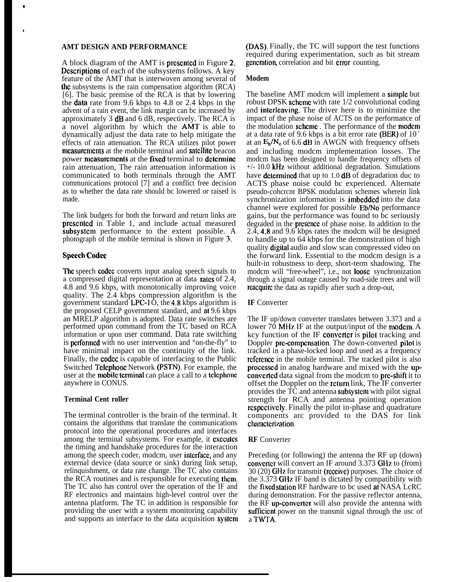## **AMT DESIGN AND PERFORMANCE**

\*

●

A block diagram of the AMT is prcscntcd in Figure 2. Dcscriplions of each of the subsystems follows. A key feature of the AMT that is interwoven among several of the subsystems is the rain compensation algorithm (RCA) [6]. The basic premise of the RCA is that by lowering the data rate from 9.6 kbps to 4.8 or 2.4 kbps in the advent of a rain event, the link margin can bc increased by approximately 3 dB and 6 dB, respectively. The RCA is a novel algorithm by which the AMT is able to dynamically adjust the data rate to help mitigate the effects of rain attenuation. The RCA utilizes pilot power measurements at the mobile terminal and satellite beacon power mcasurcmcnts at the fixed terminal to dctcrminc rain attenuation, The rain attenuation information is communicated to both terminals through the AMT communications protocol [7] and a conflict free decision as to whether the data rate should bc lowered or raised is made.

The link budgets for both the forward and return links are prcscntcd in Table 1, and include actual measured subsystcm performance to the extent possible. A photograph of the mobile terminal is shown in Figure 3,

## **Speech Codec**

**Thc** speech codcc converts input analog speech signals to a compressed digital representation at data ralcs of 2.4, 4.8 and 9.6 kbps, with monotonically improving voice quality. The 2.4 kbps compression algorithm is the government standard LPC-1 $\hat{O}$ , the 4.8 kbps algorithm is the proposed CELP government standard, and at 9.6 kbps an MRELP algorithm is adopted. Data rate switches are performed upon command from the TC based on RCA information or upon user command. Data rate switching is **performed** with no user intervention and "on-the-fly" to have minimal impact on the continuity of the link. Finally, the **codcc** is capable of interfacing to the Public Switched Tclcphonc Network (PSTN). For example, the user at the mobile terminal can place a call to a telephone anywhere in CONUS.

## **Terminal Cent roller**

The terminal controller is the brain of the terminal. It contains the algorithms that translate the communications protocol into the operational procedures and interfaces among the terminal subsystems. For example, it executes the timing and handshake procedures for the interaction among the speech coder, modcm, user intcrfacc, and any external device (data source or sink) during link setup, relinquishment, or data rate change. The TC also contains the RCA routines and is responsible for executing thcm. The TC also has control over the operation of the IF and RF electronics and maintains high-level control over the antenna platform. The TC in addition is responsible for providing the user with a system monitoring capability and supports an interface to the data acquisition systcm (DAS). Finally, the TC will support the test functions required during experimentation, such as bit stream gcncratiom correlation and bit crmr counting.

## **Modem**

The baseline AMT modcm will implement a simple but robust DPSK scheme with rate 1/2 convolutional coding and interleaving. The driver here is to minimize the impact of the phase noise of ACTS on the performance of the modulation schcmc . The performance of the modem at a data rate of 9.6 kbps is a bit error rate (BER) of  $10<sup>3</sup>$ at an  $E_b/N_o$  of 6.6 dB in AWGN with frequency offsets and including modcm implementation losses. The modcm has been designed to handle frequency offsets of  $+/-$  10.0 kHz without additional degradation. Simulations have determined that up to  $1.0$  dB of degradation duc to ACTS phase noise could bc experienced. Alternate pseudo-cohcrcnt BPSK modulation schemes wherein link synchronization information is **imbedded** into the data channel were explored for possible Eb/No performance gains, but the performance was found to bc seriously degraded in the prcscncc of phase noise. In addition to the 2.4, 4.8 and 9.6 kbps rates the modcm will be designed to handle up to 64 kbps for the demonstration of high quality digital audio and slow scan compressed video on the forward link. Essential to the modcm design is a built-in robustness to deep, short-term shadowing. The modcm will "free-wheel", i.e., not loose synchronization through a signal outage caused by road-side trees and will reacquire the data as rapidly after such a drop-out,

## **IF** Converter

The IF up/down converter translates between 3.373 and a lower 70 MHz. IF at the output/input of the modcm. A kcy function of the IF convcrtcr is pilot tracking and Doppler pre-compensation. The down-converted pilot is tracked in a phase-locked loop and used as a frequency reference in the mobile terminal. The tracked pilot is also proccsscd in analog hardware and mixed with the upconvcrtcd data signal from the modcm to prc-shift it to offset the Doppler on the **rcturn** link, The IF converter provides the TC and antenna subsystcm with pilot signal strength for RCA and antenna pointing operation rcspcctivcly. Finally the pilot in-phase and quadrature components arc provided to the DAS for link characterization.

#### **RF** Converter

Preceding (or following) the antenna the RF up (down) convcrtcr will convert an IF around 3.373 GHz to (from) 30 (20) GHz for transmit (rcceivc) purposes. The choice of the 3.373 GHz IF band is dictated by compatibility with the fixed station RF hardware to bc used at NASA LcRC during demonstration. For the passive reflector antenna, the RF up-convcrtcr will also provide the antenna with sufficient power on the transmit signal through the usc of a TWTA,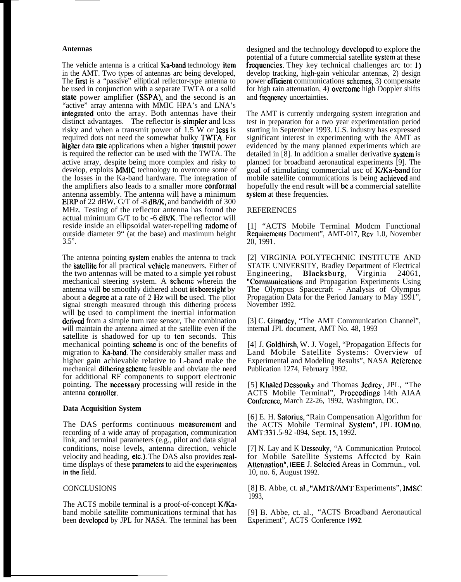## **Antennas**

The vehicle antenna is a critical **Ka-band** technology **item** in the AMT. Two types of antennas arc being developed, The first is a "passive" elliptical reflector-type antenna to be used in conjunction with a separate TWTA or a solid state power amplifier (SSPA), and the second is an "active" array antenna with MMIC HPA's and LNA's integrated onto the array. Both antennas have their distinct advantages. The reflector is **simpler** and lcss risky and when a transmit power of  $1.5$  W or lcss is required dots not need the somewhat bulky TWTA, For higher data rate applications when a higher transmit power is required the reflector can be used with the TWTA. The active array, despite being more complex and risky to develop, exploits MMIC technology to overcome some of the losses in the Ka-band hardware. The integration of the amplifiers also leads to a smaller more conformal antenna assembly. The antenna will have a minimum EIRP of 22 dBW, G/T of -8 dB/K, and bandwidth of 300 MHz. Testing of the reflector antenna has found the actual minimum G/T to bc -6 dB/K. The reflector will reside inside an ellipsoidal water-repelling radomc of outside diameter 9" (at the base) and maximum height  $3.5$ ".

The antenna pointing system enables the antenna to track the 'katcllite for all practical vchiclc maneuvers. Either of the two antennas will be mated to a simple yet robust mechanical steering system. A scheme wherein the antenna will bc smoothly dithered about ik borcsight by about a dcgrcc at a rate of 2 Hz will bc used. The pilot signal strength measured through this dithering process will be used to compliment the inertial information dcrived from a simple turn rate sensor, The combination will maintain the antenna aimed at the satellite even if the satellite is shadowed for up to ten seconds. This mechanical pointing schcmc is onc of the benefits of migration to  $\bar{K}a$ -band. The considerably smaller mass and higher gain achievable relative to L-band make the mechanical **dithering scheme** feasible and obviate the need for additional RF components to support electronic pointing. The ncccssary processing will reside in the antenna controller.

#### **Data Acquisition System**

The DAS performs continuous measurement and recording of a wide array of propagation, communication link, and terminal parameters (e.g., pilot and data signal conditions, noise levels, antenna direction, vehicle velocity and heading, cIc.). The DAS also provides realtime displays of these parameters to aid the experimenters **in the** field.

## **CONCLUSIONS**

The ACTS mobile terminal is a proof-of-concept K/Kaband mobile satellite communications terminal that has been developed by JPL for NASA. The terminal has been

designed and the technology dcvclopcd to explore the potential of a future commercial satellite systcm at these frequencies. They key technical challenges arc to: 1) develop tracking, high-gain vehicular antennas, 2) design power **efficient** communications schemes, 3) compensate for high rain attenuation, 4) ovcrcomc high Doppler shifts and frequency uncertainties.

The AMT is currently undergoing system integration and test in preparation for a two year experimentation period starting in September 1993. U.S. industry has expressed significant interest in experimenting with the AMT as evidenced by the many planned experiments which are detailed in [8]. In addition a smaller derivative **system** is planned for broadband aeronautical experiments [9]. The goal of stimulating commercial usc of K/Ka-band for mobile satellite communications is being achieved and hopefully the end result will be a commercial satellite system at these frequencies.

#### REFERENCES

[1] "ACTS Mobile Terminal Modcm Functional Rcquircmcnts Document", AMT-017, Rcv 1.0, November 20, 1991.

[2] VIRGINIA POLYTECHNIC INSTITUTE AND STATE UNIVERSITY, Bradley Department of Electrical<br>Engineering, Blacksburg, Virginia 24061, Engineering, Blacksburg, Virginia 24061, "Comnwrnications and Propagation Experiments Using The Olympus Spacecraft - Analysis of Olympus Propagation Data for the Period January to May 1991", November 1992.

[3] C. Girardey, "The AMT Communication Channel", internal JPL document, AMT No. 48, 1993

[4] J. Goldhirsh, W. J. Vogel, "Propagation Effects for Land Mobile Satellite Systems: Overview of Experimental and Modeling Results", NASA Rcfcrcnce Publication 1274, February 1992.

[5] Khaled Dessouky and Thomas Jedrey, JPL, "The ACTS Mobile Terminal", Procccdings 14th AIAA Conference, March 22-26, 1992, Washington, DC.

[6] E. H. Satorius, "Rain Compensation Algorithm for the ACTS Mobile Terminal Systcm", JPL IOM no. AMT:331 .5-92 -094, Sept. 15, 1992.

[7] N. Lay and K Dessouky, "A Communication Protocol for Mobile Satellite Systems Affcctcd by Rain Attenuation", IEEE J. Selected Areas in Comrnun., vol. 10, no. 6, August 1992.

[8] B. Abbe, ct. al., "AMTS/AMT Experiments", IMSC 1993,

[9] B. Abbe, ct. al., "ACTS Broadband Aeronautical Experiment", ACTS Conference 1992.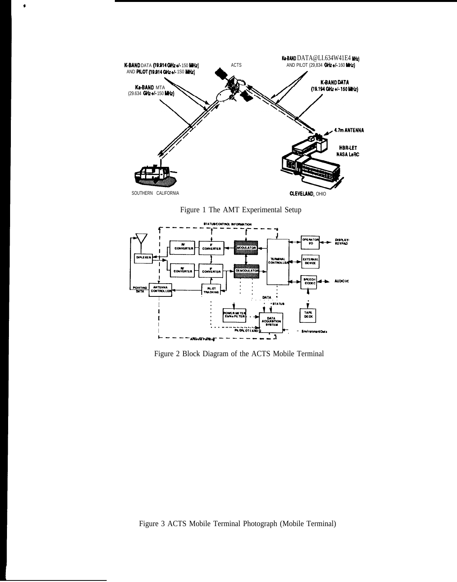

 $\bullet$ 

Figure 1 The AMT Experimental Setup



Figure 2 Block Diagram of the ACTS Mobile Terminal